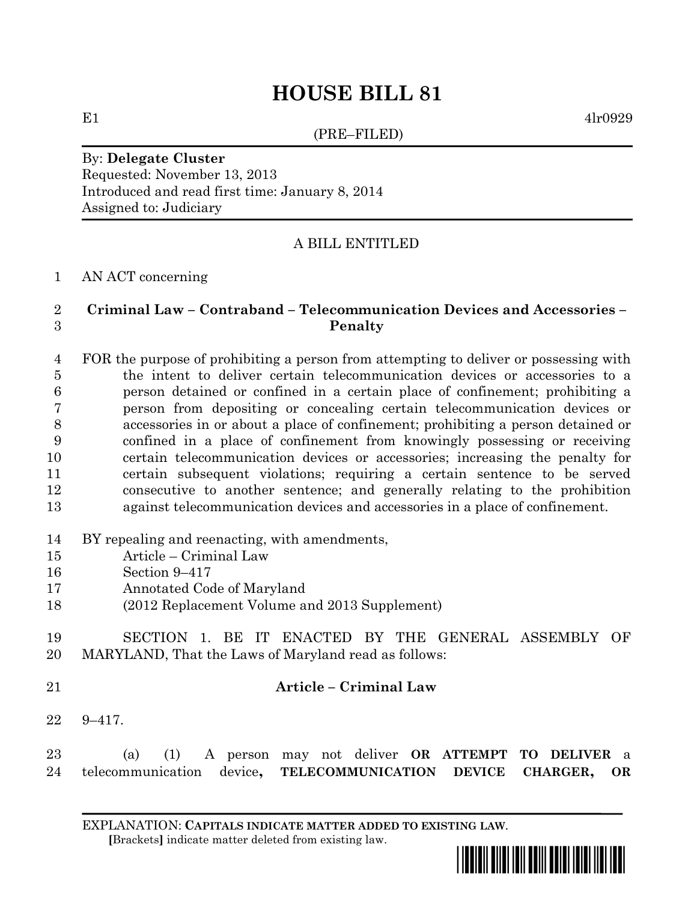# **HOUSE BILL 81**

(PRE–FILED)

E1  $4lr0929$ 

## By: **Delegate Cluster** Requested: November 13, 2013 Introduced and read first time: January 8, 2014 Assigned to: Judiciary

## A BILL ENTITLED

### AN ACT concerning

## **Criminal Law – Contraband – Telecommunication Devices and Accessories – Penalty**

 FOR the purpose of prohibiting a person from attempting to deliver or possessing with the intent to deliver certain telecommunication devices or accessories to a person detained or confined in a certain place of confinement; prohibiting a person from depositing or concealing certain telecommunication devices or accessories in or about a place of confinement; prohibiting a person detained or confined in a place of confinement from knowingly possessing or receiving certain telecommunication devices or accessories; increasing the penalty for certain subsequent violations; requiring a certain sentence to be served consecutive to another sentence; and generally relating to the prohibition against telecommunication devices and accessories in a place of confinement.

- BY repealing and reenacting, with amendments,
- Article Criminal Law
- Section 9–417
- Annotated Code of Maryland
- (2012 Replacement Volume and 2013 Supplement)
- SECTION 1. BE IT ENACTED BY THE GENERAL ASSEMBLY OF MARYLAND, That the Laws of Maryland read as follows:
- 

## **Article – Criminal Law**

9–417.

| 23 |                                                                   |  |  |  | (a) (1) A person may not deliver <b>OR ATTEMPT TO DELIVER</b> a |  |  |
|----|-------------------------------------------------------------------|--|--|--|-----------------------------------------------------------------|--|--|
|    | 24 telecommunication device, TELECOMMUNICATION DEVICE CHARGER, OR |  |  |  |                                                                 |  |  |

EXPLANATION: **CAPITALS INDICATE MATTER ADDED TO EXISTING LAW**.  **[**Brackets**]** indicate matter deleted from existing law.